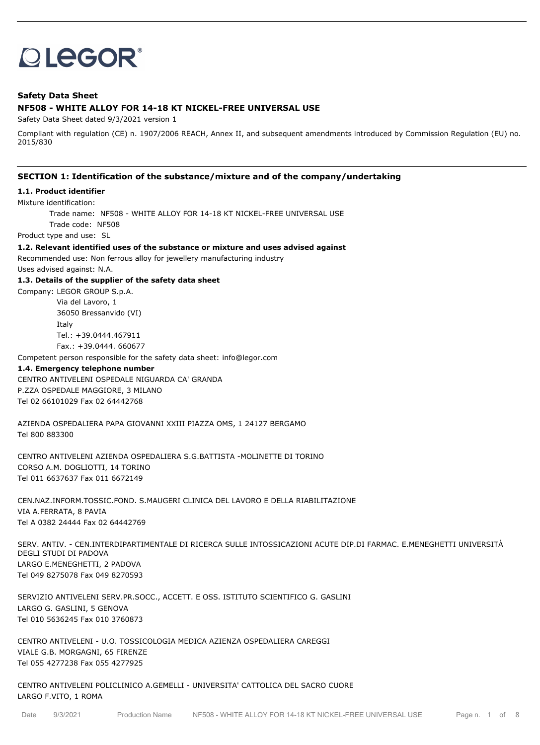# **OLEGOR®**

# **Safety Data Sheet NF508 - WHITE ALLOY FOR 14-18 KT NICKEL-FREE UNIVERSAL USE**

Safety Data Sheet dated 9/3/2021 version 1

Compliant with regulation (CE) n. 1907/2006 REACH, Annex II, and subsequent amendments introduced by Commission Regulation (EU) no. 2015/830

# **SECTION 1: Identification of the substance/mixture and of the company/undertaking**

#### **1.1. Product identifier**

Mixture identification:

Trade name: NF508 - WHITE ALLOY FOR 14-18 KT NICKEL-FREE UNIVERSAL USE

Trade code: NF508

Product type and use: SL

**1.2. Relevant identified uses of the substance or mixture and uses advised against**

Recommended use: Non ferrous alloy for jewellery manufacturing industry

Uses advised against: N.A.

#### **1.3. Details of the supplier of the safety data sheet**

Company: LEGOR GROUP S.p.A. Via del Lavoro, 1 36050 Bressanvido (VI) Italy Tel.: +39.0444.467911 Fax.: +39.0444. 660677

Competent person responsible for the safety data sheet: info@legor.com

#### **1.4. Emergency telephone number**

CENTRO ANTIVELENI OSPEDALE NIGUARDA CA' GRANDA P.ZZA OSPEDALE MAGGIORE, 3 MILANO Tel 02 66101029 Fax 02 64442768

AZIENDA OSPEDALIERA PAPA GIOVANNI XXIII PIAZZA OMS, 1 24127 BERGAMO Tel 800 883300

CENTRO ANTIVELENI AZIENDA OSPEDALIERA S.G.BATTISTA -MOLINETTE DI TORINO CORSO A.M. DOGLIOTTI, 14 TORINO Tel 011 6637637 Fax 011 6672149

CEN.NAZ.INFORM.TOSSIC.FOND. S.MAUGERI CLINICA DEL LAVORO E DELLA RIABILITAZIONE VIA A.FERRATA, 8 PAVIA Tel A 0382 24444 Fax 02 64442769

SERV. ANTIV. - CEN.INTERDIPARTIMENTALE DI RICERCA SULLE INTOSSICAZIONI ACUTE DIP.DI FARMAC. E.MENEGHETTI UNIVERSITÀ DEGLI STUDI DI PADOVA LARGO E.MENEGHETTI, 2 PADOVA Tel 049 8275078 Fax 049 8270593

SERVIZIO ANTIVELENI SERV.PR.SOCC., ACCETT. E OSS. ISTITUTO SCIENTIFICO G. GASLINI LARGO G. GASLINI, 5 GENOVA Tel 010 5636245 Fax 010 3760873

CENTRO ANTIVELENI - U.O. TOSSICOLOGIA MEDICA AZIENZA OSPEDALIERA CAREGGI VIALE G.B. MORGAGNI, 65 FIRENZE Tel 055 4277238 Fax 055 4277925

CENTRO ANTIVELENI POLICLINICO A.GEMELLI - UNIVERSITA' CATTOLICA DEL SACRO CUORE LARGO F.VITO, 1 ROMA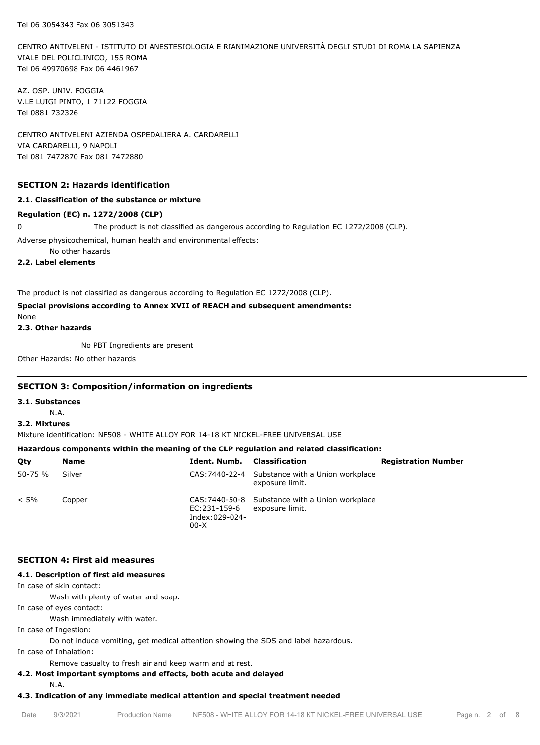CENTRO ANTIVELENI - ISTITUTO DI ANESTESIOLOGIA E RIANIMAZIONE UNIVERSITÀ DEGLI STUDI DI ROMA LA SAPIENZA VIALE DEL POLICLINICO, 155 ROMA Tel 06 49970698 Fax 06 4461967

AZ. OSP. UNIV. FOGGIA V.LE LUIGI PINTO, 1 71122 FOGGIA Tel 0881 732326

CENTRO ANTIVELENI AZIENDA OSPEDALIERA A. CARDARELLI VIA CARDARELLI, 9 NAPOLI Tel 081 7472870 Fax 081 7472880

# **SECTION 2: Hazards identification**

#### **2.1. Classification of the substance or mixture**

#### **Regulation (EC) n. 1272/2008 (CLP)**

0 The product is not classified as dangerous according to Regulation EC 1272/2008 (CLP).

Adverse physicochemical, human health and environmental effects:

No other hazards

**2.2. Label elements**

The product is not classified as dangerous according to Regulation EC 1272/2008 (CLP).

# **Special provisions according to Annex XVII of REACH and subsequent amendments:**

None

**2.3. Other hazards**

No PBT Ingredients are present

Other Hazards: No other hazards

#### **SECTION 3: Composition/information on ingredients**

**3.1. Substances**

N.A.

## **3.2. Mixtures**

Mixture identification: NF508 - WHITE ALLOY FOR 14-18 KT NICKEL-FREE UNIVERSAL USE

# **Hazardous components within the meaning of the CLP regulation and related classification:**

| Qty         | Name   | Ident. Numb.                             | Classification                                                     | <b>Registration Number</b> |
|-------------|--------|------------------------------------------|--------------------------------------------------------------------|----------------------------|
| $50 - 75 %$ | Silver |                                          | CAS: 7440-22-4 Substance with a Union workplace<br>exposure limit. |                            |
| $< 5\%$     | Copper | EC:231-159-6<br>Index:029-024-<br>$00-X$ | CAS: 7440-50-8 Substance with a Union workplace<br>exposure limit. |                            |

#### **SECTION 4: First aid measures**

## **4.1. Description of first aid measures**

In case of skin contact:

Wash with plenty of water and soap.

In case of eyes contact:

Wash immediately with water.

In case of Ingestion:

Do not induce vomiting, get medical attention showing the SDS and label hazardous.

In case of Inhalation:

Remove casualty to fresh air and keep warm and at rest.

# **4.2. Most important symptoms and effects, both acute and delayed**

N.A.

# **4.3. Indication of any immediate medical attention and special treatment needed**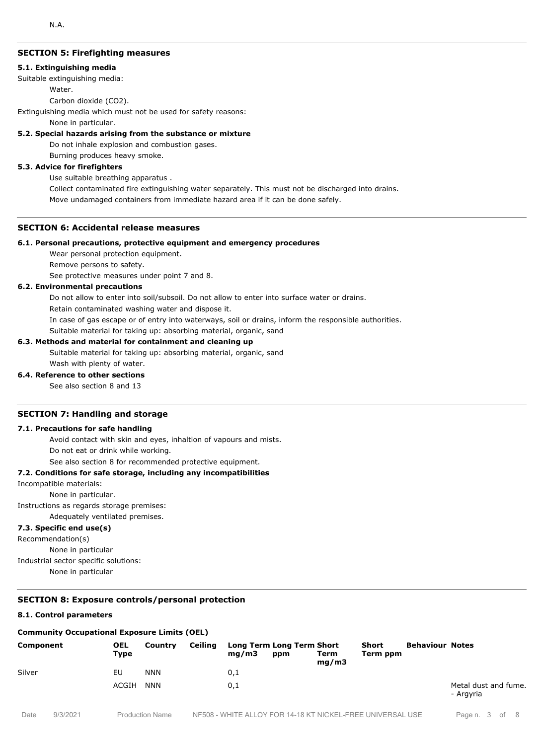# **SECTION 5: Firefighting measures**

#### **5.1. Extinguishing media**

Suitable extinguishing media:

Water.

Carbon dioxide (CO2).

Extinguishing media which must not be used for safety reasons:

None in particular.

#### **5.2. Special hazards arising from the substance or mixture**

Do not inhale explosion and combustion gases.

Burning produces heavy smoke.

## **5.3. Advice for firefighters**

Use suitable breathing apparatus .

Collect contaminated fire extinguishing water separately. This must not be discharged into drains. Move undamaged containers from immediate hazard area if it can be done safely.

## **SECTION 6: Accidental release measures**

#### **6.1. Personal precautions, protective equipment and emergency procedures**

Wear personal protection equipment.

Remove persons to safety.

See protective measures under point 7 and 8.

## **6.2. Environmental precautions**

Do not allow to enter into soil/subsoil. Do not allow to enter into surface water or drains.

Retain contaminated washing water and dispose it.

In case of gas escape or of entry into waterways, soil or drains, inform the responsible authorities.

Suitable material for taking up: absorbing material, organic, sand

#### **6.3. Methods and material for containment and cleaning up**

Suitable material for taking up: absorbing material, organic, sand Wash with plenty of water.

#### **6.4. Reference to other sections**

See also section 8 and 13

## **SECTION 7: Handling and storage**

#### **7.1. Precautions for safe handling**

Avoid contact with skin and eyes, inhaltion of vapours and mists.

Do not eat or drink while working.

See also section 8 for recommended protective equipment.

#### **7.2. Conditions for safe storage, including any incompatibilities**

Incompatible materials:

None in particular.

Instructions as regards storage premises:

Adequately ventilated premises.

# **7.3. Specific end use(s)**

Recommendation(s)

None in particular

Industrial sector specific solutions:

None in particular

# **SECTION 8: Exposure controls/personal protection**

### **8.1. Control parameters**

#### **Community Occupational Exposure Limits (OEL)**

| Component | <b>OEL</b><br>Type | Country    | Ceiling | mq/m3 | Long Term Long Term Short<br>ppm | Term<br>mq/m3 | Short<br>Term ppm | <b>Behaviour Notes</b> |                                   |
|-----------|--------------------|------------|---------|-------|----------------------------------|---------------|-------------------|------------------------|-----------------------------------|
| Silver    | EU                 | <b>NNN</b> |         | 0,1   |                                  |               |                   |                        |                                   |
|           | ACGIH              | <b>NNN</b> |         | 0,1   |                                  |               |                   |                        | Metal dust and fume.<br>- Argyria |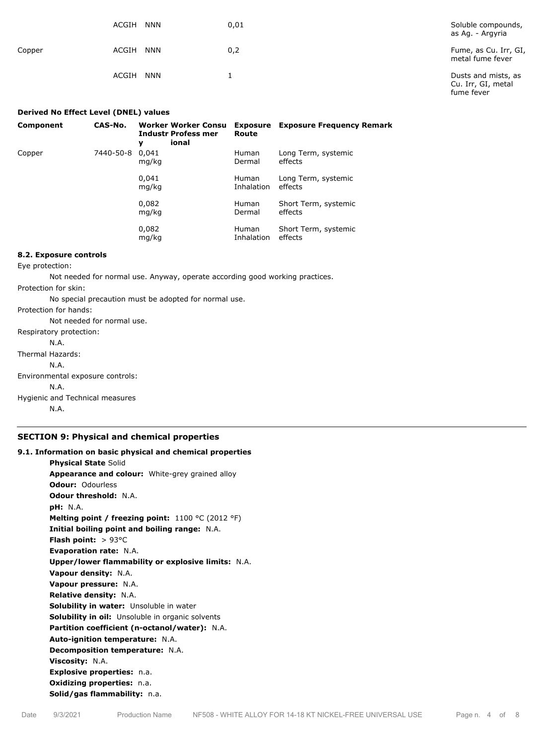|        | ACGIH<br><b>NNN</b> | 0,01 | Soluble compounds,<br>as Ag. - Argyria                  |
|--------|---------------------|------|---------------------------------------------------------|
| Copper | <b>NNN</b><br>ACGIH | 0,2  | Fume, as Cu. Irr, GI,<br>metal fume fever               |
|        | <b>NNN</b><br>ACGIH |      | Dusts and mists, as<br>Cu. Irr, GI, metal<br>fume fever |

| Derived No Effect Level (DNEL) values |           |                                                                        |                            |                                           |  |
|---------------------------------------|-----------|------------------------------------------------------------------------|----------------------------|-------------------------------------------|--|
| Component                             | CAS-No.   | <b>Worker Worker Consu</b><br><b>Industr Profess mer</b><br>ional<br>γ | Route                      | <b>Exposure</b> Exposure Frequency Remark |  |
| Copper                                | 7440-50-8 | 0.041<br>mg/kg                                                         | <b>Human</b><br>Dermal     | Long Term, systemic<br>effects            |  |
|                                       |           | 0,041<br>mg/kg                                                         | <b>Human</b><br>Inhalation | Long Term, systemic<br>effects            |  |
|                                       |           | 0,082<br>mg/kg                                                         | <b>Human</b><br>Dermal     | Short Term, systemic<br>effects           |  |
|                                       |           | 0,082<br>mg/kg                                                         | <b>Human</b><br>Inhalation | Short Term, systemic<br>effects           |  |

#### **8.2. Exposure controls**

Eye protection:

Not needed for normal use. Anyway, operate according good working practices.

Protection for skin:

No special precaution must be adopted for normal use.

Protection for hands:

Not needed for normal use. Respiratory protection:

N.A.

Thermal Hazards:

N.A.

Environmental exposure controls:

N.A.

Hygienic and Technical measures

N.A.

## **SECTION 9: Physical and chemical properties**

# **9.1. Information on basic physical and chemical properties Physical State** Solid **Appearance and colour:** White-grey grained alloy **Odour:** Odourless **Odour threshold:** N.A. **pH:** N.A. **Melting point / freezing point:** 1100 °C (2012 °F) **Initial boiling point and boiling range:** N.A. **Flash point:** > 93°C **Evaporation rate:** N.A. **Upper/lower flammability or explosive limits:** N.A. **Vapour density:** N.A. **Vapour pressure:** N.A. **Relative density:** N.A. **Solubility in water:** Unsoluble in water **Solubility in oil:** Unsoluble in organic solvents **Partition coefficient (n-octanol/water):** N.A. **Auto-ignition temperature:** N.A. **Decomposition temperature:** N.A. **Viscosity:** N.A. **Explosive properties:** n.a. **Oxidizing properties:** n.a. **Solid/gas flammability:** n.a.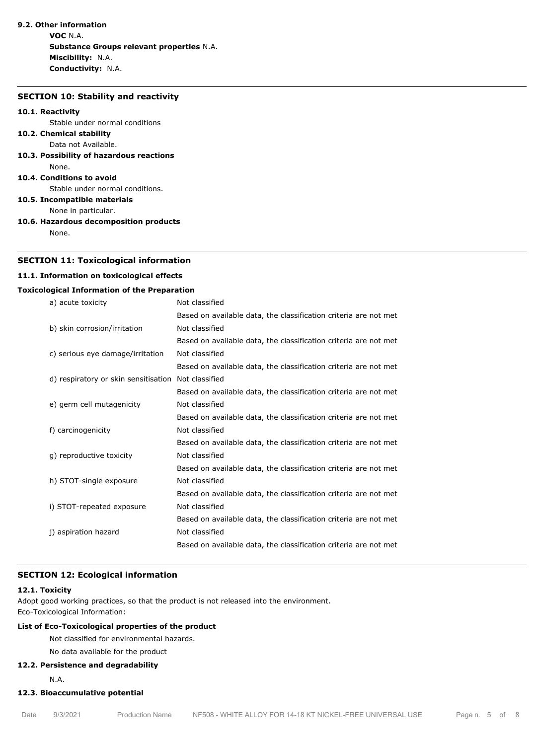# **9.2. Other information**

**VOC** N.A. **Substance Groups relevant properties** N.A. **Miscibility:** N.A. **Conductivity:** N.A.

#### **SECTION 10: Stability and reactivity**

#### **10.1. Reactivity**

Stable under normal conditions

#### **10.2. Chemical stability** Data not Available.

**10.3. Possibility of hazardous reactions** None.

#### **10.4. Conditions to avoid**

Stable under normal conditions.

**10.5. Incompatible materials**

None in particular.

**10.6. Hazardous decomposition products**

None.

# **SECTION 11: Toxicological information**

## **11.1. Information on toxicological effects**

## **Toxicological Information of the Preparation**

| a) acute toxicity                    | Not classified                                                   |
|--------------------------------------|------------------------------------------------------------------|
|                                      | Based on available data, the classification criteria are not met |
| b) skin corrosion/irritation         | Not classified                                                   |
|                                      | Based on available data, the classification criteria are not met |
| c) serious eye damage/irritation     | Not classified                                                   |
|                                      | Based on available data, the classification criteria are not met |
| d) respiratory or skin sensitisation | Not classified                                                   |
|                                      | Based on available data, the classification criteria are not met |
| e) germ cell mutagenicity            | Not classified                                                   |
|                                      | Based on available data, the classification criteria are not met |
| f) carcinogenicity                   | Not classified                                                   |
|                                      | Based on available data, the classification criteria are not met |
| q) reproductive toxicity             | Not classified                                                   |
|                                      | Based on available data, the classification criteria are not met |
| h) STOT-single exposure              | Not classified                                                   |
|                                      | Based on available data, the classification criteria are not met |
| i) STOT-repeated exposure            | Not classified                                                   |
|                                      | Based on available data, the classification criteria are not met |
| j) aspiration hazard                 | Not classified                                                   |
|                                      | Based on available data, the classification criteria are not met |

# **SECTION 12: Ecological information**

#### **12.1. Toxicity**

Adopt good working practices, so that the product is not released into the environment. Eco-Toxicological Information:

# **List of Eco-Toxicological properties of the product**

Not classified for environmental hazards.

```
No data available for the product
```
#### **12.2. Persistence and degradability**

N.A.

# **12.3. Bioaccumulative potential**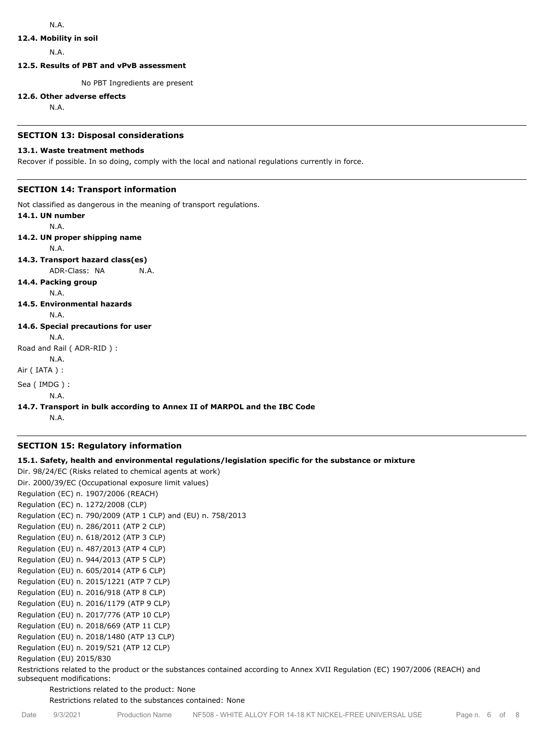# **12.4. Mobility in soil**

N.A.

**12.5. Results of PBT and vPvB assessment**

No PBT Ingredients are present

#### **12.6. Other adverse effects**

N.A.

#### **SECTION 13: Disposal considerations**

## **13.1. Waste treatment methods**

Recover if possible. In so doing, comply with the local and national regulations currently in force.

# **SECTION 14: Transport information**

Not classified as dangerous in the meaning of transport regulations.

**14.1. UN number** N.A. **14.2. UN proper shipping name** N.A. **14.3. Transport hazard class(es)** ADR-Class: NA N.A. **14.4. Packing group** N.A. **14.5. Environmental hazards** N.A. **14.6. Special precautions for user** N.A. Road and Rail ( ADR-RID ) : N.A. Air ( IATA ) : Sea ( IMDG ) : N.A.

# **14.7. Transport in bulk according to Annex II of MARPOL and the IBC Code**

N.A.

## **SECTION 15: Regulatory information**

# **15.1. Safety, health and environmental regulations/legislation specific for the substance or mixture**

Dir. 98/24/EC (Risks related to chemical agents at work) Dir. 2000/39/EC (Occupational exposure limit values) Regulation (EC) n. 1907/2006 (REACH) Regulation (EC) n. 1272/2008 (CLP) Regulation (EC) n. 790/2009 (ATP 1 CLP) and (EU) n. 758/2013 Regulation (EU) n. 286/2011 (ATP 2 CLP) Regulation (EU) n. 618/2012 (ATP 3 CLP) Regulation (EU) n. 487/2013 (ATP 4 CLP) Regulation (EU) n. 944/2013 (ATP 5 CLP) Regulation (EU) n. 605/2014 (ATP 6 CLP) Regulation (EU) n. 2015/1221 (ATP 7 CLP) Regulation (EU) n. 2016/918 (ATP 8 CLP) Regulation (EU) n. 2016/1179 (ATP 9 CLP) Regulation (EU) n. 2017/776 (ATP 10 CLP) Regulation (EU) n. 2018/669 (ATP 11 CLP) Regulation (EU) n. 2018/1480 (ATP 13 CLP) Regulation (EU) n. 2019/521 (ATP 12 CLP) Regulation (EU) 2015/830

Restrictions related to the product or the substances contained according to Annex XVII Regulation (EC) 1907/2006 (REACH) and subsequent modifications:

Restrictions related to the product: None

Restrictions related to the substances contained: None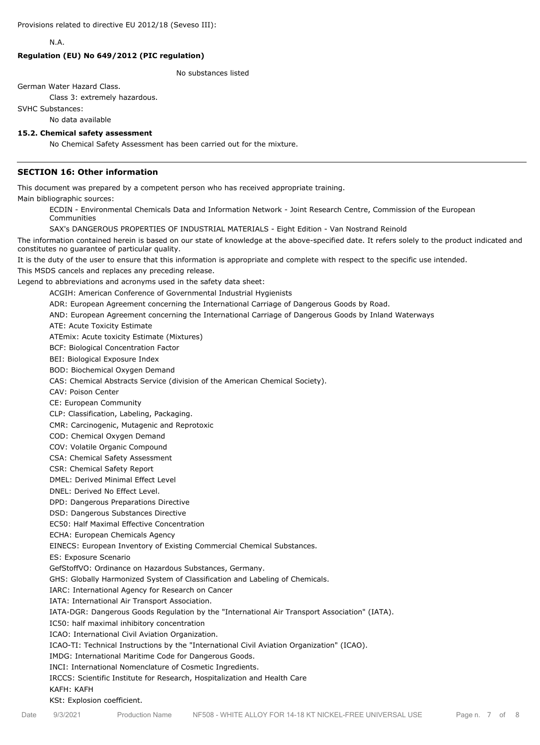N.A.

## **Regulation (EU) No 649/2012 (PIC regulation)**

No substances listed

German Water Hazard Class.

Class 3: extremely hazardous.

SVHC Substances:

No data available

#### **15.2. Chemical safety assessment**

No Chemical Safety Assessment has been carried out for the mixture.

# **SECTION 16: Other information**

This document was prepared by a competent person who has received appropriate training.

Main bibliographic sources:

ECDIN - Environmental Chemicals Data and Information Network - Joint Research Centre, Commission of the European Communities

SAX's DANGEROUS PROPERTIES OF INDUSTRIAL MATERIALS - Eight Edition - Van Nostrand Reinold

The information contained herein is based on our state of knowledge at the above-specified date. It refers solely to the product indicated and constitutes no guarantee of particular quality.

It is the duty of the user to ensure that this information is appropriate and complete with respect to the specific use intended.

This MSDS cancels and replaces any preceding release.

Legend to abbreviations and acronyms used in the safety data sheet:

ACGIH: American Conference of Governmental Industrial Hygienists

ADR: European Agreement concerning the International Carriage of Dangerous Goods by Road.

AND: European Agreement concerning the International Carriage of Dangerous Goods by Inland Waterways

ATE: Acute Toxicity Estimate

ATEmix: Acute toxicity Estimate (Mixtures)

BCF: Biological Concentration Factor

BEI: Biological Exposure Index

BOD: Biochemical Oxygen Demand

CAS: Chemical Abstracts Service (division of the American Chemical Society).

CAV: Poison Center

CE: European Community

CLP: Classification, Labeling, Packaging.

CMR: Carcinogenic, Mutagenic and Reprotoxic

COD: Chemical Oxygen Demand

COV: Volatile Organic Compound

CSA: Chemical Safety Assessment

CSR: Chemical Safety Report

DMEL: Derived Minimal Effect Level

DNEL: Derived No Effect Level.

DPD: Dangerous Preparations Directive

DSD: Dangerous Substances Directive

EC50: Half Maximal Effective Concentration

ECHA: European Chemicals Agency

EINECS: European Inventory of Existing Commercial Chemical Substances.

ES: Exposure Scenario

GefStoffVO: Ordinance on Hazardous Substances, Germany.

GHS: Globally Harmonized System of Classification and Labeling of Chemicals.

IARC: International Agency for Research on Cancer

IATA: International Air Transport Association.

IATA-DGR: Dangerous Goods Regulation by the "International Air Transport Association" (IATA).

IC50: half maximal inhibitory concentration

ICAO: International Civil Aviation Organization.

ICAO-TI: Technical Instructions by the "International Civil Aviation Organization" (ICAO).

IMDG: International Maritime Code for Dangerous Goods.

INCI: International Nomenclature of Cosmetic Ingredients.

IRCCS: Scientific Institute for Research, Hospitalization and Health Care

#### KAFH: KAFH

KSt: Explosion coefficient.